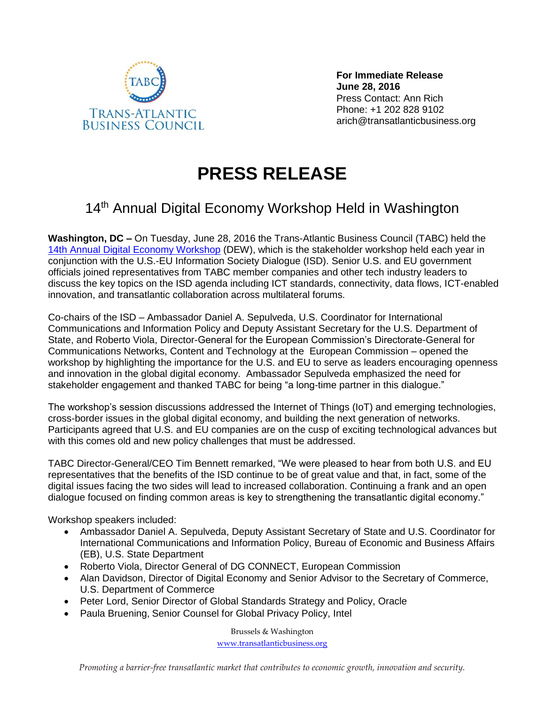

**For Immediate Release June 28, 2016** Press Contact: Ann Rich Phone: +1 202 828 9102 arich@transatlanticbusiness.org

## **PRESS RELEASE**

## 14<sup>th</sup> Annual Digital Economy Workshop Held in Washington

**Washington, DC –** On Tuesday, June 28, 2016 the Trans-Atlantic Business Council (TABC) held the [14th Annual Digital Economy Workshop](http://www.transatlanticbusiness.org/events/14th-annual-digital-economy-workshop-dew/) (DEW), which is the stakeholder workshop held each year in conjunction with the U.S.-EU Information Society Dialogue (ISD). Senior U.S. and EU government officials joined representatives from TABC member companies and other tech industry leaders to discuss the key topics on the ISD agenda including ICT standards, connectivity, data flows, ICT-enabled innovation, and transatlantic collaboration across multilateral forums.

Co-chairs of the ISD – Ambassador Daniel A. Sepulveda, U.S. Coordinator for International Communications and Information Policy and Deputy Assistant Secretary for the U.S. Department of State, and Roberto Viola, Director-General for the European Commission's Directorate-General for Communications Networks, Content and Technology at the European Commission – opened the workshop by highlighting the importance for the U.S. and EU to serve as leaders encouraging openness and innovation in the global digital economy. Ambassador Sepulveda emphasized the need for stakeholder engagement and thanked TABC for being "a long-time partner in this dialogue."

The workshop's session discussions addressed the Internet of Things (IoT) and emerging technologies, cross-border issues in the global digital economy, and building the next generation of networks. Participants agreed that U.S. and EU companies are on the cusp of exciting technological advances but with this comes old and new policy challenges that must be addressed.

TABC Director-General/CEO Tim Bennett remarked, "We were pleased to hear from both U.S. and EU representatives that the benefits of the ISD continue to be of great value and that, in fact, some of the digital issues facing the two sides will lead to increased collaboration. Continuing a frank and an open dialogue focused on finding common areas is key to strengthening the transatlantic digital economy."

Workshop speakers included:

- Ambassador Daniel A. Sepulveda, Deputy Assistant Secretary of State and U.S. Coordinator for International Communications and Information Policy, Bureau of Economic and Business Affairs (EB), U.S. State Department
- Roberto Viola, Director General of DG CONNECT, European Commission
- Alan Davidson, Director of Digital Economy and Senior Advisor to the Secretary of Commerce, U.S. Department of Commerce
- Peter Lord, Senior Director of Global Standards Strategy and Policy, Oracle
- Paula Bruening, Senior Counsel for Global Privacy Policy, Intel

Brussels & Washington [www.transatlanticbusiness.org](http://www.transatlanticbusiness.org/)